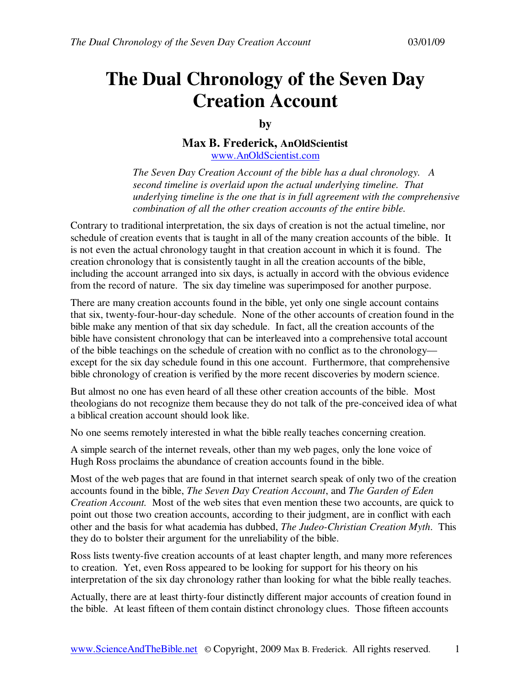# **The Dual Chronology of the Seven Day Creation Account**

**by** 

**Max B. Frederick, AnOldScientist** www.AnOldScientist.com

*The Seven Day Creation Account of the bible has a dual chronology. A second timeline is overlaid upon the actual underlying timeline. That underlying timeline is the one that is in full agreement with the comprehensive combination of all the other creation accounts of the entire bible.* 

Contrary to traditional interpretation, the six days of creation is not the actual timeline, nor schedule of creation events that is taught in all of the many creation accounts of the bible. It is not even the actual chronology taught in that creation account in which it is found. The creation chronology that is consistently taught in all the creation accounts of the bible, including the account arranged into six days, is actually in accord with the obvious evidence from the record of nature. The six day timeline was superimposed for another purpose.

There are many creation accounts found in the bible, yet only one single account contains that six, twenty-four-hour-day schedule. None of the other accounts of creation found in the bible make any mention of that six day schedule. In fact, all the creation accounts of the bible have consistent chronology that can be interleaved into a comprehensive total account of the bible teachings on the schedule of creation with no conflict as to the chronology except for the six day schedule found in this one account. Furthermore, that comprehensive bible chronology of creation is verified by the more recent discoveries by modern science.

But almost no one has even heard of all these other creation accounts of the bible. Most theologians do not recognize them because they do not talk of the pre-conceived idea of what a biblical creation account should look like.

No one seems remotely interested in what the bible really teaches concerning creation.

A simple search of the internet reveals, other than my web pages, only the lone voice of Hugh Ross proclaims the abundance of creation accounts found in the bible.

Most of the web pages that are found in that internet search speak of only two of the creation accounts found in the bible, *The Seven Day Creation Account*, and *The Garden of Eden Creation Account.* Most of the web sites that even mention these two accounts, are quick to point out those two creation accounts, according to their judgment, are in conflict with each other and the basis for what academia has dubbed, *The Judeo-Christian Creation Myth*. This they do to bolster their argument for the unreliability of the bible.

Ross lists twenty-five creation accounts of at least chapter length, and many more references to creation. Yet, even Ross appeared to be looking for support for his theory on his interpretation of the six day chronology rather than looking for what the bible really teaches.

Actually, there are at least thirty-four distinctly different major accounts of creation found in the bible. At least fifteen of them contain distinct chronology clues. Those fifteen accounts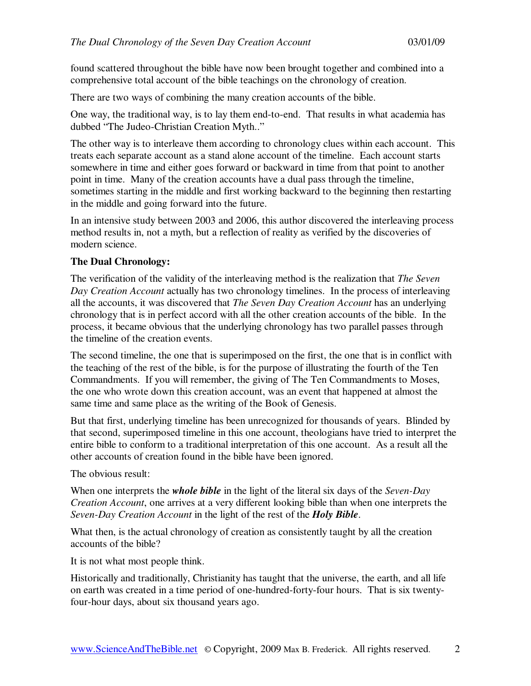found scattered throughout the bible have now been brought together and combined into a comprehensive total account of the bible teachings on the chronology of creation.

There are two ways of combining the many creation accounts of the bible.

One way, the traditional way, is to lay them end-to-end. That results in what academia has dubbed "The Judeo-Christian Creation Myth.."

The other way is to interleave them according to chronology clues within each account. This treats each separate account as a stand alone account of the timeline. Each account starts somewhere in time and either goes forward or backward in time from that point to another point in time. Many of the creation accounts have a dual pass through the timeline, sometimes starting in the middle and first working backward to the beginning then restarting in the middle and going forward into the future.

In an intensive study between 2003 and 2006, this author discovered the interleaving process method results in, not a myth, but a reflection of reality as verified by the discoveries of modern science.

## **The Dual Chronology:**

The verification of the validity of the interleaving method is the realization that *The Seven Day Creation Account* actually has two chronology timelines. In the process of interleaving all the accounts, it was discovered that *The Seven Day Creation Account* has an underlying chronology that is in perfect accord with all the other creation accounts of the bible. In the process, it became obvious that the underlying chronology has two parallel passes through the timeline of the creation events.

The second timeline, the one that is superimposed on the first, the one that is in conflict with the teaching of the rest of the bible, is for the purpose of illustrating the fourth of the Ten Commandments. If you will remember, the giving of The Ten Commandments to Moses, the one who wrote down this creation account, was an event that happened at almost the same time and same place as the writing of the Book of Genesis.

But that first, underlying timeline has been unrecognized for thousands of years. Blinded by that second, superimposed timeline in this one account, theologians have tried to interpret the entire bible to conform to a traditional interpretation of this one account. As a result all the other accounts of creation found in the bible have been ignored.

The obvious result:

When one interprets the *whole bible* in the light of the literal six days of the *Seven-Day Creation Account*, one arrives at a very different looking bible than when one interprets the *Seven-Day Creation Account* in the light of the rest of the *Holy Bible*.

What then, is the actual chronology of creation as consistently taught by all the creation accounts of the bible?

It is not what most people think.

Historically and traditionally, Christianity has taught that the universe, the earth, and all life on earth was created in a time period of one-hundred-forty-four hours. That is six twentyfour-hour days, about six thousand years ago.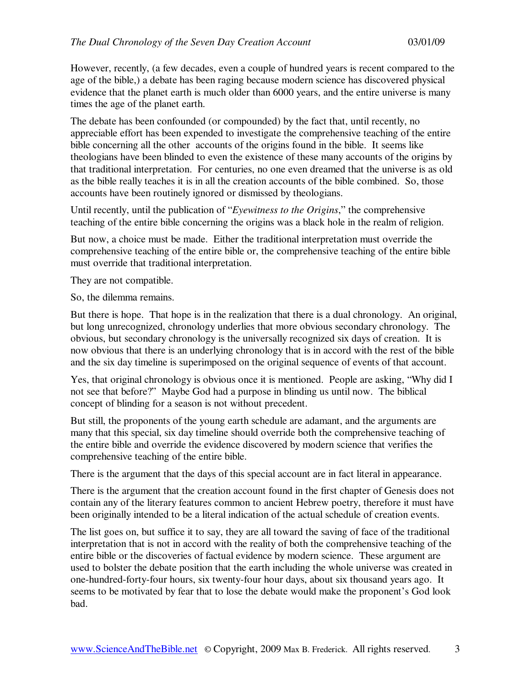However, recently, (a few decades, even a couple of hundred years is recent compared to the age of the bible,) a debate has been raging because modern science has discovered physical evidence that the planet earth is much older than 6000 years, and the entire universe is many times the age of the planet earth.

The debate has been confounded (or compounded) by the fact that, until recently, no appreciable effort has been expended to investigate the comprehensive teaching of the entire bible concerning all the other accounts of the origins found in the bible. It seems like theologians have been blinded to even the existence of these many accounts of the origins by that traditional interpretation. For centuries, no one even dreamed that the universe is as old as the bible really teaches it is in all the creation accounts of the bible combined. So, those accounts have been routinely ignored or dismissed by theologians.

Until recently, until the publication of "*Eyewitness to the Origins*," the comprehensive teaching of the entire bible concerning the origins was a black hole in the realm of religion.

But now, a choice must be made. Either the traditional interpretation must override the comprehensive teaching of the entire bible or, the comprehensive teaching of the entire bible must override that traditional interpretation.

They are not compatible.

So, the dilemma remains.

But there is hope. That hope is in the realization that there is a dual chronology. An original, but long unrecognized, chronology underlies that more obvious secondary chronology. The obvious, but secondary chronology is the universally recognized six days of creation. It is now obvious that there is an underlying chronology that is in accord with the rest of the bible and the six day timeline is superimposed on the original sequence of events of that account.

Yes, that original chronology is obvious once it is mentioned. People are asking, "Why did I not see that before?" Maybe God had a purpose in blinding us until now. The biblical concept of blinding for a season is not without precedent.

But still, the proponents of the young earth schedule are adamant, and the arguments are many that this special, six day timeline should override both the comprehensive teaching of the entire bible and override the evidence discovered by modern science that verifies the comprehensive teaching of the entire bible.

There is the argument that the days of this special account are in fact literal in appearance.

There is the argument that the creation account found in the first chapter of Genesis does not contain any of the literary features common to ancient Hebrew poetry, therefore it must have been originally intended to be a literal indication of the actual schedule of creation events.

The list goes on, but suffice it to say, they are all toward the saving of face of the traditional interpretation that is not in accord with the reality of both the comprehensive teaching of the entire bible or the discoveries of factual evidence by modern science. These argument are used to bolster the debate position that the earth including the whole universe was created in one-hundred-forty-four hours, six twenty-four hour days, about six thousand years ago. It seems to be motivated by fear that to lose the debate would make the proponent's God look bad.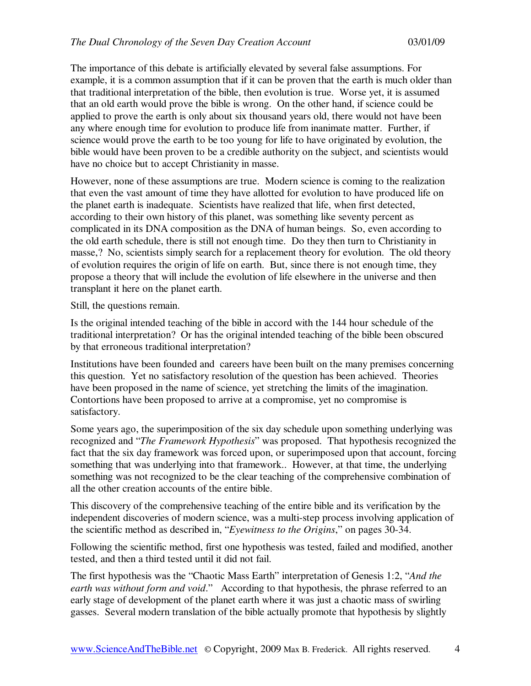The importance of this debate is artificially elevated by several false assumptions. For example, it is a common assumption that if it can be proven that the earth is much older than that traditional interpretation of the bible, then evolution is true. Worse yet, it is assumed that an old earth would prove the bible is wrong. On the other hand, if science could be applied to prove the earth is only about six thousand years old, there would not have been any where enough time for evolution to produce life from inanimate matter. Further, if science would prove the earth to be too young for life to have originated by evolution, the bible would have been proven to be a credible authority on the subject, and scientists would have no choice but to accept Christianity in masse.

However, none of these assumptions are true. Modern science is coming to the realization that even the vast amount of time they have allotted for evolution to have produced life on the planet earth is inadequate. Scientists have realized that life, when first detected, according to their own history of this planet, was something like seventy percent as complicated in its DNA composition as the DNA of human beings. So, even according to the old earth schedule, there is still not enough time. Do they then turn to Christianity in masse,? No, scientists simply search for a replacement theory for evolution. The old theory of evolution requires the origin of life on earth. But, since there is not enough time, they propose a theory that will include the evolution of life elsewhere in the universe and then transplant it here on the planet earth.

Still, the questions remain.

Is the original intended teaching of the bible in accord with the 144 hour schedule of the traditional interpretation? Or has the original intended teaching of the bible been obscured by that erroneous traditional interpretation?

Institutions have been founded and careers have been built on the many premises concerning this question. Yet no satisfactory resolution of the question has been achieved. Theories have been proposed in the name of science, yet stretching the limits of the imagination. Contortions have been proposed to arrive at a compromise, yet no compromise is satisfactory.

Some years ago, the superimposition of the six day schedule upon something underlying was recognized and "*The Framework Hypothesis*" was proposed. That hypothesis recognized the fact that the six day framework was forced upon, or superimposed upon that account, forcing something that was underlying into that framework.. However, at that time, the underlying something was not recognized to be the clear teaching of the comprehensive combination of all the other creation accounts of the entire bible.

This discovery of the comprehensive teaching of the entire bible and its verification by the independent discoveries of modern science, was a multi-step process involving application of the scientific method as described in, "*Eyewitness to the Origins*," on pages 30-34.

Following the scientific method, first one hypothesis was tested, failed and modified, another tested, and then a third tested until it did not fail.

The first hypothesis was the "Chaotic Mass Earth" interpretation of Genesis 1:2, "*And the earth was without form and void*." According to that hypothesis, the phrase referred to an early stage of development of the planet earth where it was just a chaotic mass of swirling gasses. Several modern translation of the bible actually promote that hypothesis by slightly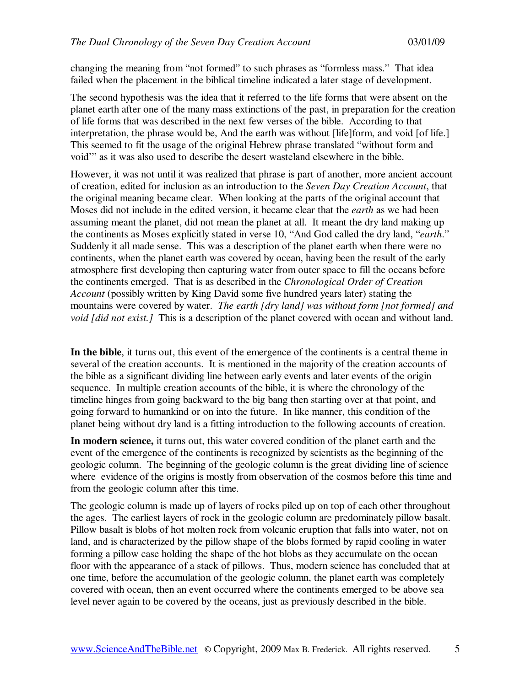changing the meaning from "not formed" to such phrases as "formless mass." That idea failed when the placement in the biblical timeline indicated a later stage of development.

The second hypothesis was the idea that it referred to the life forms that were absent on the planet earth after one of the many mass extinctions of the past, in preparation for the creation of life forms that was described in the next few verses of the bible. According to that interpretation, the phrase would be, And the earth was without [life]form, and void [of life.] This seemed to fit the usage of the original Hebrew phrase translated "without form and void'" as it was also used to describe the desert wasteland elsewhere in the bible.

However, it was not until it was realized that phrase is part of another, more ancient account of creation, edited for inclusion as an introduction to the *Seven Day Creation Account*, that the original meaning became clear. When looking at the parts of the original account that Moses did not include in the edited version, it became clear that the *earth* as we had been assuming meant the planet, did not mean the planet at all. It meant the dry land making up the continents as Moses explicitly stated in verse 10, "And God called the dry land, "*earth*." Suddenly it all made sense. This was a description of the planet earth when there were no continents, when the planet earth was covered by ocean, having been the result of the early atmosphere first developing then capturing water from outer space to fill the oceans before the continents emerged. That is as described in the *Chronological Order of Creation Account* (possibly written by King David some five hundred years later) stating the mountains were covered by water. *The earth [dry land] was without form [not formed] and void [did not exist.]* This is a description of the planet covered with ocean and without land.

**In the bible**, it turns out, this event of the emergence of the continents is a central theme in several of the creation accounts. It is mentioned in the majority of the creation accounts of the bible as a significant dividing line between early events and later events of the origin sequence. In multiple creation accounts of the bible, it is where the chronology of the timeline hinges from going backward to the big bang then starting over at that point, and going forward to humankind or on into the future. In like manner, this condition of the planet being without dry land is a fitting introduction to the following accounts of creation.

**In modern science,** it turns out, this water covered condition of the planet earth and the event of the emergence of the continents is recognized by scientists as the beginning of the geologic column. The beginning of the geologic column is the great dividing line of science where evidence of the origins is mostly from observation of the cosmos before this time and from the geologic column after this time.

The geologic column is made up of layers of rocks piled up on top of each other throughout the ages. The earliest layers of rock in the geologic column are predominately pillow basalt. Pillow basalt is blobs of hot molten rock from volcanic eruption that falls into water, not on land, and is characterized by the pillow shape of the blobs formed by rapid cooling in water forming a pillow case holding the shape of the hot blobs as they accumulate on the ocean floor with the appearance of a stack of pillows. Thus, modern science has concluded that at one time, before the accumulation of the geologic column, the planet earth was completely covered with ocean, then an event occurred where the continents emerged to be above sea level never again to be covered by the oceans, just as previously described in the bible.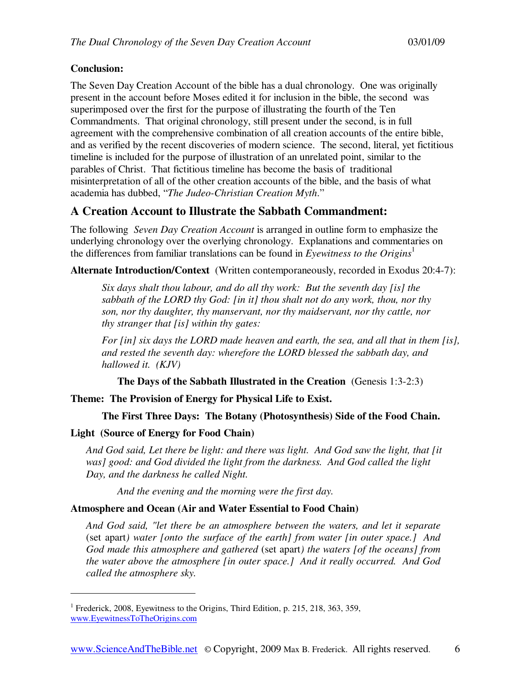## **Conclusion:**

The Seven Day Creation Account of the bible has a dual chronology. One was originally present in the account before Moses edited it for inclusion in the bible, the second was superimposed over the first for the purpose of illustrating the fourth of the Ten Commandments. That original chronology, still present under the second, is in full agreement with the comprehensive combination of all creation accounts of the entire bible, and as verified by the recent discoveries of modern science. The second, literal, yet fictitious timeline is included for the purpose of illustration of an unrelated point, similar to the parables of Christ. That fictitious timeline has become the basis of traditional misinterpretation of all of the other creation accounts of the bible, and the basis of what academia has dubbed, "*The Judeo-Christian Creation Myth*."

# **A Creation Account to Illustrate the Sabbath Commandment:**

The following *Seven Day Creation Account* is arranged in outline form to emphasize the underlying chronology over the overlying chronology. Explanations and commentaries on the differences from familiar translations can be found in *Eyewitness to the Origins*<sup>1</sup>

**Alternate Introduction/Context** (Written contemporaneously, recorded in Exodus 20:4-7):

*Six days shalt thou labour, and do all thy work: But the seventh day [is] the sabbath of the LORD thy God: [in it] thou shalt not do any work, thou, nor thy son, nor thy daughter, thy manservant, nor thy maidservant, nor thy cattle, nor thy stranger that [is] within thy gates:* 

*For [in] six days the LORD made heaven and earth, the sea, and all that in them [is], and rested the seventh day: wherefore the LORD blessed the sabbath day, and hallowed it. (KJV)* 

**The Days of the Sabbath Illustrated in the Creation** (Genesis 1:3-2:3)

**Theme: The Provision of Energy for Physical Life to Exist.** 

## **The First Three Days: The Botany (Photosynthesis) Side of the Food Chain.**

## **Light (Source of Energy for Food Chain)**

-

*And God said, Let there be light: and there was light. And God saw the light, that [it was] good: and God divided the light from the darkness. And God called the light Day, and the darkness he called Night.* 

*And the evening and the morning were the first day.* 

## **Atmosphere and Ocean (Air and Water Essential to Food Chain)**

*And God said, "let there be an atmosphere between the waters, and let it separate*  (set apart*) water [onto the surface of the earth] from water [in outer space.] And God made this atmosphere and gathered* (set apart*) the waters [of the oceans] from the water above the atmosphere [in outer space.] And it really occurred. And God called the atmosphere sky.* 

<sup>&</sup>lt;sup>1</sup> Frederick, 2008, Eyewitness to the Origins, Third Edition, p. 215, 218, 363, 359, www.EyewitnessToTheOrigins.com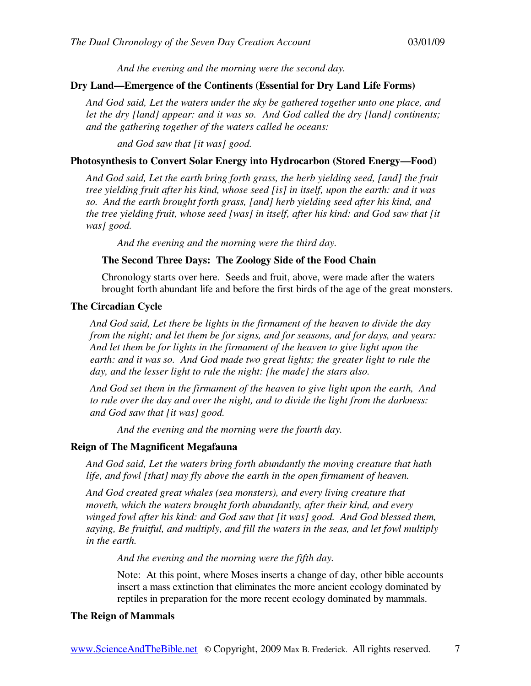*And the evening and the morning were the second day.* 

## **Dry Land—Emergence of the Continents (Essential for Dry Land Life Forms)**

*And God said, Let the waters under the sky be gathered together unto one place, and let the dry [land] appear: and it was so. And God called the dry [land] continents; and the gathering together of the waters called he oceans:* 

*and God saw that [it was] good.* 

#### **Photosynthesis to Convert Solar Energy into Hydrocarbon (Stored Energy—Food)**

*And God said, Let the earth bring forth grass, the herb yielding seed, [and] the fruit tree yielding fruit after his kind, whose seed [is] in itself, upon the earth: and it was so. And the earth brought forth grass, [and] herb yielding seed after his kind, and the tree yielding fruit, whose seed [was] in itself, after his kind: and God saw that [it was] good.* 

*And the evening and the morning were the third day.* 

#### **The Second Three Days: The Zoology Side of the Food Chain**

Chronology starts over here. Seeds and fruit, above, were made after the waters brought forth abundant life and before the first birds of the age of the great monsters.

#### **The Circadian Cycle**

*And God said, Let there be lights in the firmament of the heaven to divide the day from the night; and let them be for signs, and for seasons, and for days, and years: And let them be for lights in the firmament of the heaven to give light upon the*  earth: and it was so. And God made two great lights; the greater light to rule the *day, and the lesser light to rule the night: [he made] the stars also.* 

*And God set them in the firmament of the heaven to give light upon the earth, And to rule over the day and over the night, and to divide the light from the darkness: and God saw that [it was] good.* 

*And the evening and the morning were the fourth day.* 

#### **Reign of The Magnificent Megafauna**

*And God said, Let the waters bring forth abundantly the moving creature that hath life, and fowl [that] may fly above the earth in the open firmament of heaven.* 

*And God created great whales (sea monsters), and every living creature that moveth, which the waters brought forth abundantly, after their kind, and every winged fowl after his kind: and God saw that [it was] good. And God blessed them, saying, Be fruitful, and multiply, and fill the waters in the seas, and let fowl multiply in the earth.* 

*And the evening and the morning were the fifth day.* 

Note: At this point, where Moses inserts a change of day, other bible accounts insert a mass extinction that eliminates the more ancient ecology dominated by reptiles in preparation for the more recent ecology dominated by mammals.

#### **The Reign of Mammals**